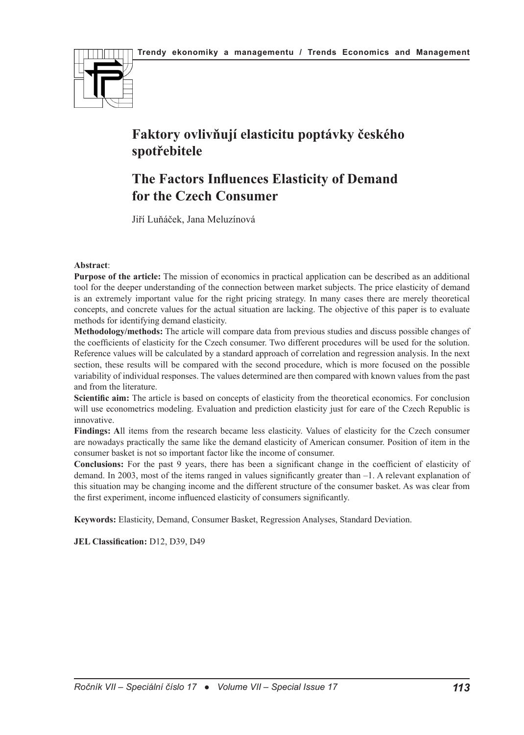

# **Faktory ovlivňují elasticitu poptávky českého spotřebitele**

## **The Factors Influences Elasticity of Demand for the Czech Consumer**

Jiří Luňáček, Jana Meluzínová

#### **Abstract**:

**Purpose of the article:** The mission of economics in practical application can be described as an additional tool for the deeper understanding of the connection between market subjects. The price elasticity of demand is an extremely important value for the right pricing strategy. In many cases there are merely theoretical concepts, and concrete values for the actual situation are lacking. The objective of this paper is to evaluate methods for identifying demand elasticity.

**Methodology/methods:** The article will compare data from previous studies and discuss possible changes of the coefficients of elasticity for the Czech consumer. Two different procedures will be used for the solution. Reference values will be calculated by a standard approach of correlation and regression analysis. In the next section, these results will be compared with the second procedure, which is more focused on the possible variability of individual responses. The values determined are then compared with known values from the past and from the literature.

**Scientific aim:** The article is based on concepts of elasticity from the theoretical economics. For conclusion will use econometrics modeling. Evaluation and prediction elasticity just for eare of the Czech Republic is innovative.

**Findings: A**ll items from the research became less elasticity. Values of elasticity for the Czech consumer are nowadays practically the same like the demand elasticity of American consumer. Position of item in the consumer basket is not so important factor like the income of consumer.

**Conclusions:** For the past 9 years, there has been a significant change in the coefficient of elasticity of demand. In 2003, most of the items ranged in values significantly greater than –1. A relevant explanation of this situation may be changing income and the different structure of the consumer basket. As was clear from the first experiment, income influenced elasticity of consumers significantly.

**Keywords:** Elasticity, Demand, Consumer Basket, Regression Analyses, Standard Deviation.

**JEL Classification:** D12, D39, D49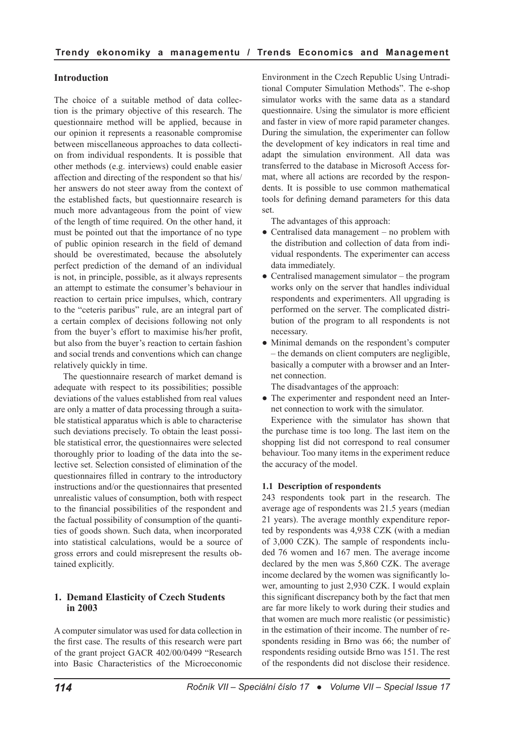## **Introduction**

The choice of a suitable method of data collection is the primary objective of this research. The questionnaire method will be applied, because in our opinion it represents a reasonable compromise between miscellaneous approaches to data collection from individual respondents. It is possible that other methods (e.g. interviews) could enable easier affection and directing of the respondent so that his/ her answers do not steer away from the context of the established facts, but questionnaire research is much more advantageous from the point of view of the length of time required. On the other hand, it must be pointed out that the importance of no type of public opinion research in the field of demand should be overestimated, because the absolutely perfect prediction of the demand of an individual is not, in principle, possible, as it always represents an attempt to estimate the consumer's behaviour in reaction to certain price impulses, which, contrary to the "ceteris paribus" rule, are an integral part of a certain complex of decisions following not only from the buyer's effort to maximise his/her profit, but also from the buyer's reaction to certain fashion and social trends and conventions which can change relatively quickly in time.

The questionnaire research of market demand is adequate with respect to its possibilities; possible deviations of the values established from real values are only a matter of data processing through a suitable statistical apparatus which is able to characterise such deviations precisely. To obtain the least possible statistical error, the questionnaires were selected thoroughly prior to loading of the data into the selective set. Selection consisted of elimination of the questionnaires filled in contrary to the introductory instructions and/or the questionnaires that presented unrealistic values of consumption, both with respect to the financial possibilities of the respondent and the factual possibility of consumption of the quantities of goods shown. Such data, when incorporated into statistical calculations, would be a source of gross errors and could misrepresent the results obtained explicitly.

## **1. Demand Elasticity of Czech Students in 2003**

A computer simulator was used for data collection in the first case. The results of this research were part of the grant project GACR 402/00/0499 "Research into Basic Characteristics of the Microeconomic

Environment in the Czech Republic Using Untraditional Computer Simulation Methods". The e-shop simulator works with the same data as a standard questionnaire. Using the simulator is more efficient and faster in view of more rapid parameter changes. During the simulation, the experimenter can follow the development of key indicators in real time and adapt the simulation environment. All data was transferred to the database in Microsoft Access format, where all actions are recorded by the respondents. It is possible to use common mathematical tools for defining demand parameters for this data set.

The advantages of this approach:

- Centralised data management no problem with the distribution and collection of data from individual respondents. The experimenter can access data immediately.
- Centralised management simulator the program works only on the server that handles individual respondents and experimenters. All upgrading is performed on the server. The complicated distribution of the program to all respondents is not necessary.
- Minimal demands on the respondent's computer – the demands on client computers are negligible, basically a computer with a browser and an Internet connection.

The disadvantages of the approach:

• The experimenter and respondent need an Internet connection to work with the simulator.

Experience with the simulator has shown that the purchase time is too long. The last item on the shopping list did not correspond to real consumer behaviour. Too many items in the experiment reduce the accuracy of the model.

#### **1.1 Description of respondents**

243 respondents took part in the research. The average age of respondents was 21.5 years (median 21 years). The average monthly expenditure reported by respondents was 4,938 CZK (with a median of 3,000 CZK). The sample of respondents included 76 women and 167 men. The average income declared by the men was 5,860 CZK. The average income declared by the women was significantly lower, amounting to just 2,930 CZK. I would explain this significant discrepancy both by the fact that men are far more likely to work during their studies and that women are much more realistic (or pessimistic) in the estimation of their income. The number of respondents residing in Brno was 66; the number of respondents residing outside Brno was 151. The rest of the respondents did not disclose their residence.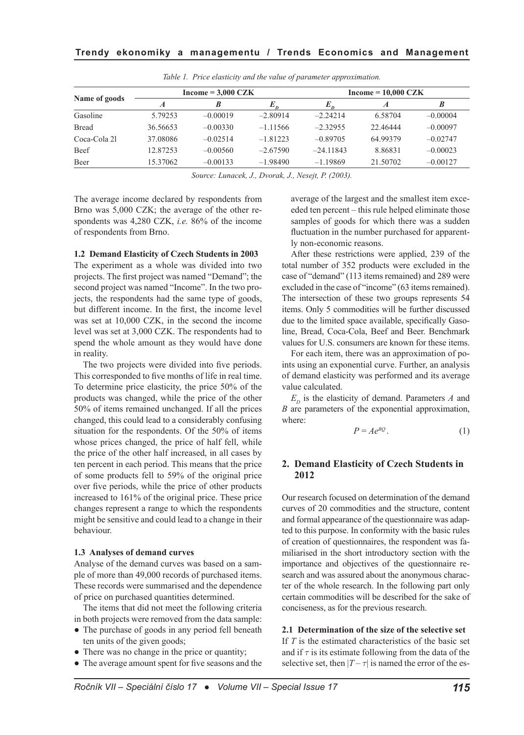|               |          | $Income = 3,000 CZK$ |            | $Income = 10,000 CZK$ |                  |            |  |
|---------------|----------|----------------------|------------|-----------------------|------------------|------------|--|
| Name of goods | A        | B                    | n          | $E_{n}$               | $\boldsymbol{A}$ | B          |  |
| Gasoline      | 5.79253  | $-0.00019$           | $-2.80914$ | $-2.24214$            | 6.58704          | $-0.00004$ |  |
| <b>Bread</b>  | 36.56653 | $-0.00330$           | $-1.11566$ | $-2.32955$            | 22.46444         | $-0.00097$ |  |
| Coca-Cola 21  | 37.08086 | $-0.02514$           | $-1.81223$ | $-0.89705$            | 64.99379         | $-0.02747$ |  |
| Beef          | 12.87253 | $-0.00560$           | $-2.67590$ | $-24.11843$           | 8.86831          | $-0.00023$ |  |
| Beer          | 15.37062 | $-0.00133$           | $-1.98490$ | $-1.19869$            | 21.50702         | $-0.00127$ |  |

*Table 1. Price elasticity and the value of parameter approximation.*

*Source: Lunacek, J., Dvorak, J., Nesejt, P. (2003).*

The average income declared by respondents from Brno was 5,000 CZK; the average of the other respondents was 4,280 CZK, *i.e.* 86% of the income of respondents from Brno.

#### **1.2 Demand Elasticity of Czech Students in 2003**

The experiment as a whole was divided into two projects. The first project was named "Demand"; the second project was named "Income". In the two projects, the respondents had the same type of goods, but different income. In the first, the income level was set at 10,000 CZK, in the second the income level was set at 3,000 CZK. The respondents had to spend the whole amount as they would have done in reality.

The two projects were divided into five periods. This corresponded to five months of life in real time. To determine price elasticity, the price 50% of the products was changed, while the price of the other 50% of items remained unchanged. If all the prices changed, this could lead to a considerably confusing situation for the respondents. Of the 50% of items whose prices changed, the price of half fell, while the price of the other half increased, in all cases by ten percent in each period. This means that the price of some products fell to 59% of the original price over five periods, while the price of other products increased to 161% of the original price. These price changes represent a range to which the respondents might be sensitive and could lead to a change in their behaviour.

#### **1.3 Analyses of demand curves**

Analyse of the demand curves was based on a sample of more than 49,000 records of purchased items. These records were summarised and the dependence of price on purchased quantities determined.

The items that did not meet the following criteria in both projects were removed from the data sample:

- The purchase of goods in any period fell beneath ten units of the given goods;
- There was no change in the price or quantity;
- The average amount spent for five seasons and the

average of the largest and the smallest item exceeded ten percent – this rule helped eliminate those samples of goods for which there was a sudden fluctuation in the number purchased for apparently non-economic reasons.

After these restrictions were applied, 239 of the total number of 352 products were excluded in the case of "demand" (113 items remained) and 289 were excluded in the case of "income" (63 items remained). The intersection of these two groups represents 54 items. Only 5 commodities will be further discussed due to the limited space available, specifically Gasoline, Bread, Coca-Cola, Beef and Beer. Benchmark values for U.S. consumers are known for these items.

For each item, there was an approximation of points using an exponential curve. Further, an analysis of demand elasticity was performed and its average value calculated.

 $E<sub>p</sub>$  is the elasticity of demand. Parameters *A* and *B* are parameters of the exponential approximation, where:

$$
P = Ae^{BQ}.
$$
 (1)

## **2. Demand Elasticity of Czech Students in 2012**

Our research focused on determination of the demand curves of 20 commodities and the structure, content and formal appearance of the questionnaire was adapted to this purpose. In conformity with the basic rules of creation of questionnaires, the respondent was familiarised in the short introductory section with the importance and objectives of the questionnaire research and was assured about the anonymous character of the whole research. In the following part only certain commodities will be described for the sake of conciseness, as for the previous research.

**2.1 Determination of the size of the selective set**  If *T* is the estimated characteristics of the basic set and if  $\tau$  is its estimate following from the data of the selective set, then  $|T - \tau|$  is named the error of the es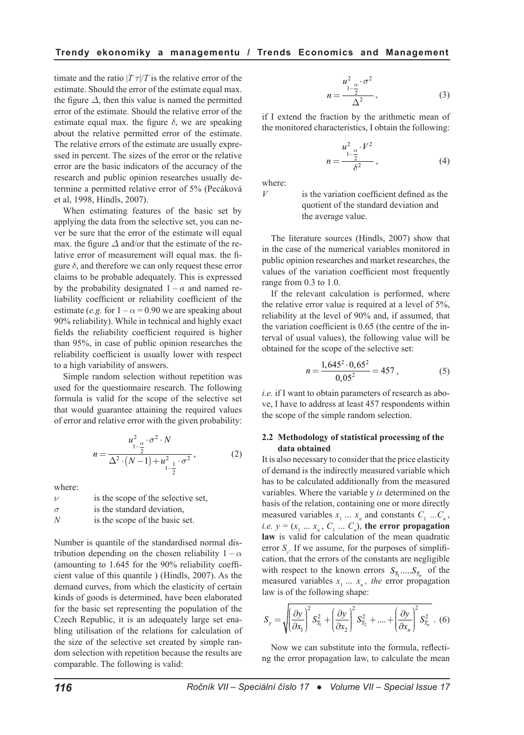timate and the ratio  $|T_T|/T$  is the relative error of the estimate. Should the error of the estimate equal max. the figure  $\Delta$ , then this value is named the permitted error of the estimate. Should the relative error of the estimate equal max. the figure  $\delta$ , we are speaking about the relative permitted error of the estimate. The relative errors of the estimate are usually expressed in percent. The sizes of the error or the relative error are the basic indicators of the accuracy of the research and public opinion researches usually determine a permitted relative error of 5% (Pecáková et al, 1998, Hindls, 2007).

When estimating features of the basic set by applying the data from the selective set, you can never be sure that the error of the estimate will equal max. the figure *Δ* and/or that the estimate of the relative error of measurement will equal max. the figure  $\delta$ , and therefore we can only request these error claims to be probable adequately. This is expressed by the probability designated  $1 - \alpha$  and named reliability coefficient or reliability coefficient of the estimate (*e.g.* for  $1 - \alpha = 0.90$  we are speaking about 90% reliability). While in technical and highly exact fields the reliability coefficient required is higher than 95%, in case of public opinion researches the reliability coefficient is usually lower with respect to a high variability of answers.

Simple random selection without repetition was used for the questionnaire research. The following formula is valid for the scope of the selective set that would guarantee attaining the required values of error and relative error with the given probability:

$$
n = \frac{u_{1-\frac{\alpha}{2}}^2 \cdot \sigma^2 \cdot N}{\Delta^2 \cdot (N-1) + u_{1-\frac{1}{2}}^2 \cdot \sigma^2},
$$
 (2)

where:

 $\nu$  is the scope of the selective set,  $\sigma$  is the standard deviation. *N* is the scope of the basic set.

Number is quantile of the standardised normal distribution depending on the chosen reliability  $1 - \alpha$ (amounting to 1.645 for the 90% reliability coefficient value of this quantile ) (Hindls, 2007). As the demand curves, from which the elasticity of certain kinds of goods is determined, have been elaborated for the basic set representing the population of the Czech Republic, it is an adequately large set enabling utilisation of the relations for calculation of the size of the selective set created by simple random selection with repetition because the results are comparable. The following is valid:

$$
n = \frac{u_{1-\frac{\alpha}{2}}^2 \cdot \sigma^2}{\Delta^2},
$$
\n(3)

if I extend the fraction by the arithmetic mean of the monitored characteristics, I obtain the following:

$$
n = \frac{u_{1-\frac{\alpha}{2}}^2 \cdot V^2}{\delta^2},
$$
 (4)

where:

*V* is the variation coefficient defined as the quotient of the standard deviation and the average value.

The literature sources (Hindls, 2007) show that in the case of the numerical variables monitored in public opinion researches and market researches, the values of the variation coefficient most frequently range from 0.3 to 1.0.

If the relevant calculation is performed, where the relative error value is required at a level of 5%, reliability at the level of 90% and, if assumed, that the variation coefficient is 0.65 (the centre of the interval of usual values), the following value will be obtained for the scope of the selective set:

$$
n = \frac{1,645^2 \cdot 0,65^2}{0,05^2} = 457, \tag{5}
$$

*i.e.* if I want to obtain parameters of research as above, I have to address at least 457 respondents within the scope of the simple random selection.

#### **2.2 Methodology of statistical processing of the data obtained**

It is also necessary to consider that the price elasticity of demand is the indirectly measured variable which has to be calculated additionally from the measured variables. Where the variable y *is* determined on the basis of the relation, containing one or more directly measured variables  $x_1 \ldots x_n$  and constants  $C_1 \ldots C_n$ , *i.e.*  $y = (x_1 \dots x_n, C_1 \dots C_n)$ , the error propagation **law** is valid for calculation of the mean quadratic error  $S<sub>y</sub>$ . If we assume, for the purposes of simplification, that the errors of the constants are negligible with respect to the known errors  $S_{\overline{x}_1}$ ..... $S_{\overline{x}_n}$  of the measured variables  $x_1 \ldots x_n$ , the error propagation law is of the following shape:

$$
S_{y} = \sqrt{\left(\frac{\partial y}{\partial x_{1}}\right)^{2} S_{\overline{x}_{1}}^{2} + \left(\frac{\partial y}{\partial x_{2}}\right)^{2} S_{\overline{x}_{2}}^{2} + \dots + \left(\frac{\partial y}{\partial x_{n}}\right)^{2} S_{\overline{x}_{n}}^{2}}.
$$
 (6)

Now we can substitute into the formula, reflecting the error propagation law, to calculate the mean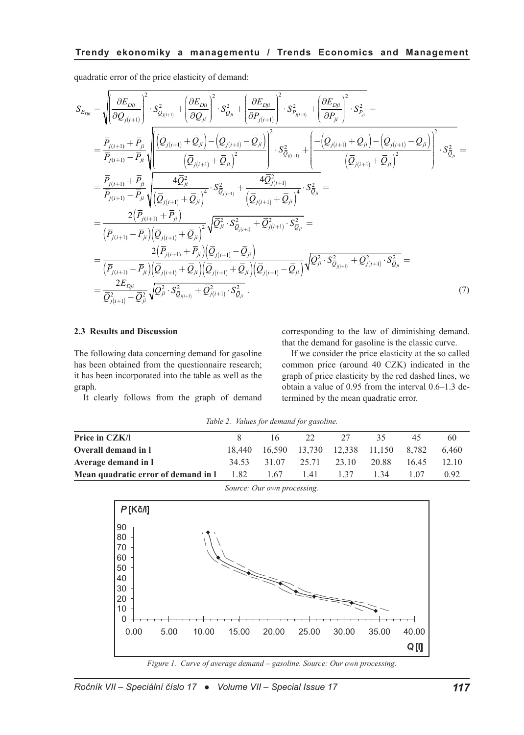quadratic error of the price elasticity of demand:

$$
S_{E_{Dji}} = \sqrt{\left(\frac{\partial E_{Dji}}{\partial \overline{Q}_{j(i+1)}}\right)^2} \cdot S_{\overline{Q}_{j(i+1)}}^2 + \left(\frac{\partial E_{Dji}}{\partial \overline{Q}_{ji}}\right)^2} \cdot S_{\overline{Q}_{ji}}^2 + \left(\frac{\partial E_{Dji}}{\partial \overline{P}_{j(i+1)}}\right)^2} \cdot S_{\overline{P}_{j(i+1)}}^2 + \left(\frac{\partial E_{Dji}}{\partial \overline{P}_{ji}}\right)^2} \cdot S_{\overline{P}_{ji}}^2 =
$$
\n
$$
= \frac{\overline{P}_{j(i+1)} + \overline{P}_{ji}}{\overline{P}_{j(i+1)} - \overline{P}_{ji}} \sqrt{\left(\frac{\overline{Q}_{j(i+1)} + \overline{Q}_{ji}\right) - \left(\overline{Q}_{j(i+1)} - \overline{Q}_{ji}\right)^2}{\left(\overline{Q}_{j(i+1)} + \overline{Q}_{ji}\right)^2}} \cdot S_{\overline{Q}_{j(i+1)}}^2 + \left(\frac{-\left(\overline{Q}_{j(i+1)} + \overline{Q}_{ji}\right) - \left(\overline{Q}_{j(i+1)} - \overline{Q}_{ji}\right)^2}{\left(\overline{Q}_{j(i+1)} + \overline{P}_{ji}\right)^2}\right)^2} \cdot S_{\overline{Q}_{ji}}^2 =
$$
\n
$$
= \frac{\overline{P}_{j(i+1)} + \overline{P}_{ji}}{\overline{P}_{j(i+1)} - \overline{P}_{ji}} \sqrt{\left(\overline{Q}_{j(i+1)} + \overline{Q}_{ji}\right)^4} \cdot S_{\overline{Q}_{j(i+1)}}^2 + \frac{4\overline{Q}_{j(i+1)}^2}{\left(\overline{Q}_{j(i+1)} + \overline{Q}_{ji}\right)^4} \cdot S_{\overline{Q}_{ji}}^2 =
$$
\n
$$
= \frac{2(\overline{P}_{j(i+1)} - \overline{P}_{ji})(\overline{Q}_{j(i+1)} + \overline{Q}_{ji})}{\left(\overline{P}_{j(i+1)} - \overline{P}_{ji}\right)\left(\overline{Q}_{j(i+1)} + \overline{Q}_{ji}\right)} \sqrt{\overline{Q}_{ji}^2} \cdot S_{\overline{Q}_{ji}}^2 + \frac{\overline{Q}_{j(i+1)}^2}{\overline{Q}_{ji}^2} \cdot S_{
$$

#### **2.3 Results and Discussion**

The following data concerning demand for gasoline has been obtained from the questionnaire research; it has been incorporated into the table as well as the graph.

It clearly follows from the graph of demand

corresponding to the law of diminishing demand. that the demand for gasoline is the classic curve.

If we consider the price elasticity at the so called common price (around 40 CZK) indicated in the graph of price elasticity by the red dashed lines, we obtain a value of 0.95 from the interval 0.6–1.3 determined by the mean quadratic error.

|  |  | Table 2. Values for demand for gasoline. |
|--|--|------------------------------------------|
|  |  |                                          |

| Price in CZK/I                                                          |       | 16 — | 22   | 27    | 35.                                      | 45   | 60    |
|-------------------------------------------------------------------------|-------|------|------|-------|------------------------------------------|------|-------|
| Overall demand in 1                                                     |       |      |      |       | 18,440 16,590 13,730 12,338 11,150 8,782 |      | 6.460 |
| Average demand in 1                                                     | 34.53 |      |      |       | 31.07 25.71 23.10 20.88 16.45            |      | 12.10 |
| <b>Mean quadratic error of demand in <math>1 \t 1.82 \t 1.67</math></b> |       |      | 1.41 | 1 3 7 | 1 34                                     | 1.07 | 0.92  |
|                                                                         |       |      |      |       |                                          |      |       |

*Source: Our own processing.*



*Figure 1. Curve of average demand – gasoline. Source: Our own processing.*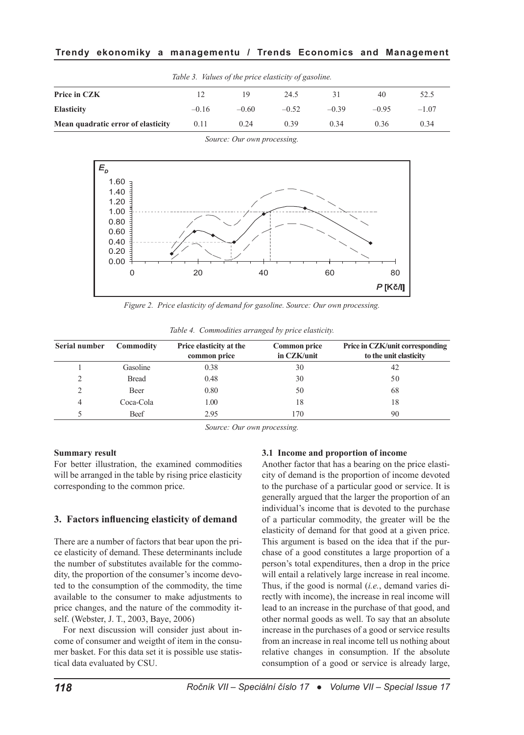## **Trendy ekonomiky a managementu / Trends Economics and Management**

|                                    |         |         | Table 3. Values of the price elasticity of gasoline. |         |         |         |
|------------------------------------|---------|---------|------------------------------------------------------|---------|---------|---------|
| Price in CZK                       |         | 19      | 24.5                                                 |         | 40      | 52.5    |
| <b>Elasticity</b>                  | $-0.16$ | $-0.60$ | $-0.52$                                              | $-0.39$ | $-0.95$ | $-1.07$ |
| Mean quadratic error of elasticity | 0.11    | 0.24    | 0.39                                                 | 0.34    | 0.36    | 0.34    |

*Source: Our own processing.*



*Figure 2. Price elasticity of demand for gasoline. Source: Our own processing.*

| Serial number  | Commodity | Price elasticity at the<br>common price | <b>Common price</b><br>in CZK/unit | Price in CZK/unit corresponding<br>to the unit elasticity |
|----------------|-----------|-----------------------------------------|------------------------------------|-----------------------------------------------------------|
|                | Gasoline  | 0.38                                    | 30                                 | 42                                                        |
| $\mathcal{D}$  | Bread     | 0.48                                    | 30                                 | 50                                                        |
| $\mathcal{L}$  | Beer      | 0.80                                    | 50                                 | 68                                                        |
| $\overline{4}$ | Coca-Cola | 0.00                                    | 18                                 | 18                                                        |
|                | Beef      | 2.95                                    | 170                                | 90                                                        |

*Table 4. Commodities arranged by price elasticity.*

*Source: Our own processing.*

#### **Summary result**

For better illustration, the examined commodities will be arranged in the table by rising price elasticity corresponding to the common price.

#### **3. Factors influencing elasticity of demand**

There are a number of factors that bear upon the price elasticity of demand. These determinants include the number of substitutes available for the commodity, the proportion of the consumer's income devoted to the consumption of the commodity, the time available to the consumer to make adjustments to price changes, and the nature of the commodity itself. (Webster, J. T., 2003, Baye, 2006)

For next discussion will consider just about income of consumer and weigtht of item in the consumer basket. For this data set it is possible use statistical data evaluated by CSU.

#### **3.1 Income and proportion of income**

Another factor that has a bearing on the price elasticity of demand is the proportion of income devoted to the purchase of a particular good or service. It is generally argued that the larger the proportion of an individual's income that is devoted to the purchase of a particular commodity, the greater will be the elasticity of demand for that good at a given price. This argument is based on the idea that if the purchase of a good constitutes a large proportion of a person's total expenditures, then a drop in the price will entail a relatively large increase in real income. Thus, if the good is normal (*i.e.*, demand varies directly with income), the increase in real income will lead to an increase in the purchase of that good, and other normal goods as well. To say that an absolute increase in the purchases of a good or service results from an increase in real income tell us nothing about relative changes in consumption. If the absolute consumption of a good or service is already large,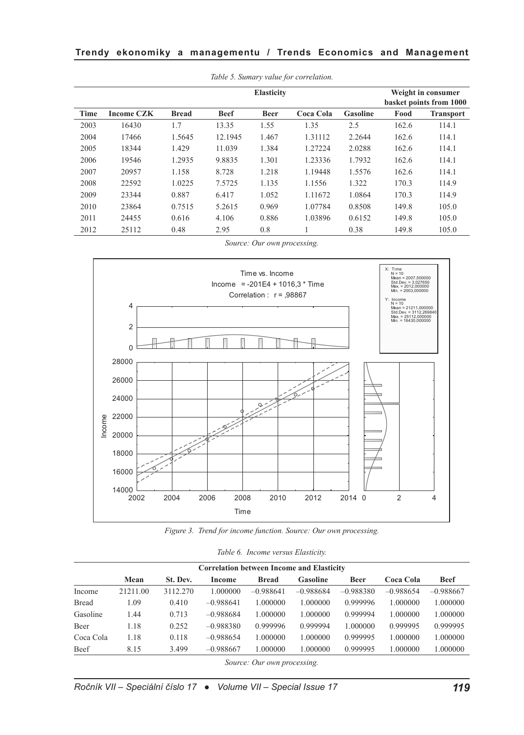| <b>Elasticity</b> |                   |              |             |             |           |          |       | Weight in consumer<br>basket points from 1000 |
|-------------------|-------------------|--------------|-------------|-------------|-----------|----------|-------|-----------------------------------------------|
| Time              | <b>Income CZK</b> | <b>Bread</b> | <b>Beef</b> | <b>Beer</b> | Coca Cola | Gasoline | Food  | <b>Transport</b>                              |
| 2003              | 16430             | 1.7          | 13.35       | 1.55        | 1.35      | 2.5      | 162.6 | 114.1                                         |
| 2004              | 17466             | 1.5645       | 12.1945     | 1.467       | 1.31112   | 2.2644   | 162.6 | 114.1                                         |
| 2005              | 18344             | 1.429        | 11.039      | 1.384       | 1.27224   | 2.0288   | 162.6 | 114.1                                         |
| 2006              | 19546             | 1.2935       | 9.8835      | 1.301       | 1.23336   | 1.7932   | 162.6 | 114.1                                         |
| 2007              | 20957             | 1.158        | 8.728       | 1.218       | 1.19448   | 1.5576   | 162.6 | 114.1                                         |
| 2008              | 22592             | 1.0225       | 7.5725      | 1.135       | 1.1556    | 1.322    | 170.3 | 114.9                                         |
| 2009              | 23344             | 0.887        | 6.417       | 1.052       | 1.11672   | 1.0864   | 170.3 | 114.9                                         |
| 2010              | 23864             | 0.7515       | 5.2615      | 0.969       | 1.07784   | 0.8508   | 149.8 | 105.0                                         |
| 2011              | 24455             | 0.616        | 4.106       | 0.886       | 1.03896   | 0.6152   | 149.8 | 105.0                                         |
| 2012              | 25112             | 0.48         | 2.95        | 0.8         |           | 0.38     | 149.8 | 105.0                                         |

*Table 5. Sumary value for correlation.*

*Source: Our own processing.*



*Figure 3. Trend for income function. Source: Our own processing.*

|  | Table 6. Income versus Elasticity. |
|--|------------------------------------|
|  |                                    |

|              |          |          | <b>Correlation between Income and Elasticity</b> |              |             |             |             |             |
|--------------|----------|----------|--------------------------------------------------|--------------|-------------|-------------|-------------|-------------|
|              | Mean     | St. Dev. | Income                                           | <b>Bread</b> | Gasoline    | <b>Beer</b> | Coca Cola   | <b>Beef</b> |
| Income       | 21211.00 | 3112.270 | 1.000000                                         | $-0.988641$  | $-0.988684$ | $-0.988380$ | $-0.988654$ | $-0.988667$ |
| <b>Bread</b> | .09      | 0.410    | $-0.988641$                                      | 1.000000     | 1.000000    | 0.999996    | 1.000000    | 1.000000    |
| Gasoline     | -44      | 0.713    | $-0.988684$                                      | 1.000000     | 1.000000    | 0.999994    | 1.000000    | 1.000000    |
| Beer         | 1.18     | 0.252    | $-0.988380$                                      | 0.999996     | 0.999994    | 1.000000    | 0.999995    | 0.999995    |
| Coca Cola    | 1.18     | 0.118    | $-0.988654$                                      | 1.000000     | 1.000000    | 0.999995    | 1.000000    | 1.000000    |
| Beef         | 8.15     | 3.499    | $-0.988667$                                      | 1.000000     | 1.000000    | 0.999995    | 1.000000    | 1.000000    |

*Source: Our own processing.*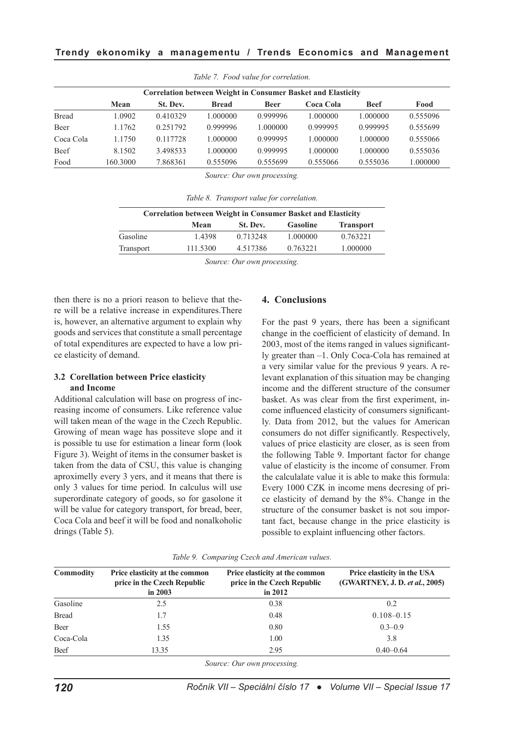|              | <b>Correlation between Weight in Consumer Basket and Elasticity</b> |          |              |             |           |             |          |
|--------------|---------------------------------------------------------------------|----------|--------------|-------------|-----------|-------------|----------|
|              | Mean                                                                | St. Dev. | <b>Bread</b> | <b>Beer</b> | Coca Cola | <b>Beef</b> | Food     |
| <b>Bread</b> | 1.0902                                                              | 0.410329 | 1.000000     | 0.999996    | 1.000000  | 1.000000    | 0.555096 |
| Beer         | 1.1762                                                              | 0.251792 | 0.999996     | 1.000000    | 0.999995  | 0.999995    | 0.555699 |
| Coca Cola    | 1.1750                                                              | 0.117728 | 1.000000     | 0.999995    | 1.000000  | 1.000000    | 0.555066 |
| Beef         | 8.1502                                                              | 3.498533 | 1.000000     | 0.999995    | 1.000000  | 1.000000    | 0.555036 |
| Food         | 160.3000                                                            | 7.868361 | 0.555096     | 0.555699    | 0.555066  | 0.555036    | 1.000000 |

*Table 7. Food value for correlation.*

*Source: Our own processing.*

*Table 8. Transport value for correlation.*

| <b>Correlation between Weight in Consumer Basket and Elasticity</b> |          |          |                 |                  |  |
|---------------------------------------------------------------------|----------|----------|-----------------|------------------|--|
|                                                                     | Mean     | St. Dev. | <b>Gasoline</b> | <b>Transport</b> |  |
| Gasoline                                                            | 1.4398   | 0.713248 | 1.000000        | 0.763221         |  |
| Transport                                                           | 111.5300 | 4.517386 | 0.763221        | 1.000000         |  |
|                                                                     |          |          |                 |                  |  |

*Source: Our own processing.*

then there is no a priori reason to believe that there will be a relative increase in expenditures.There is, however, an alternative argument to explain why goods and services that constitute a small percentage of total expenditures are expected to have a low price elasticity of demand.

#### **3.2 Corellation between Price elasticity and Income**

Additional calculation will base on progress of increasing income of consumers. Like reference value will taken mean of the wage in the Czech Republic. Growing of mean wage has possiteve slope and it is possible tu use for estimation a linear form (look Figure 3). Weight of items in the consumer basket is taken from the data of CSU, this value is changing aproximelly every 3 yers, and it means that there is only 3 values for time period. In calculus will use superordinate category of goods, so for gasolone it will be value for category transport, for bread, beer, Coca Cola and beef it will be food and nonalkoholic drings (Table 5).

#### **4. Conclusions**

For the past 9 years, there has been a significant change in the coefficient of elasticity of demand. In 2003, most of the items ranged in values significantly greater than –1. Only Coca-Cola has remained at a very similar value for the previous 9 years. A relevant explanation of this situation may be changing income and the different structure of the consumer basket. As was clear from the first experiment, income influenced elasticity of consumers significantly. Data from 2012, but the values for American consumers do not differ significantly. Respectively, values of price elasticity are closer, as is seen from the following Table 9. Important factor for change value of elasticity is the income of consumer. From the calculalate value it is able to make this formula: Every 1000 CZK in income mens decresing of price elasticity of demand by the 8%. Change in the structure of the consumer basket is not sou important fact, because change in the price elasticity is possible to explaint influencing other factors.

|  | Table 9. Comparing Czech and American values. |  |  |  |  |
|--|-----------------------------------------------|--|--|--|--|
|--|-----------------------------------------------|--|--|--|--|

| Commodity    | Price elasticity at the common<br>price in the Czech Republic<br>in $2003$ | Price elasticity at the common<br>price in the Czech Republic<br>in $2012$ | Price elasticity in the USA<br>(GWARTNEY, J. D. et al., 2005) |  |
|--------------|----------------------------------------------------------------------------|----------------------------------------------------------------------------|---------------------------------------------------------------|--|
| Gasoline     | 2.5                                                                        | 0.38                                                                       | 0.2                                                           |  |
| <b>Bread</b> | 1.7                                                                        | 0.48                                                                       | $0.108 - 0.15$                                                |  |
| Beer         | 1.55                                                                       | 0.80                                                                       | $0.3 - 0.9$                                                   |  |
| Coca-Cola    | 1.35                                                                       | 1.00                                                                       | 3.8                                                           |  |
| Beef         | 13.35                                                                      | 2.95                                                                       | $0.40 - 0.64$                                                 |  |

*Source: Our own processing.*